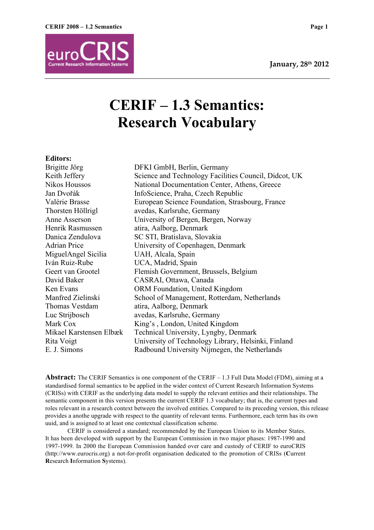

# **CERIF – 1.3 Semantics: Research Vocabulary**

### **Editors:**

Brigitte Jörg DFKI GmbH, Berlin, Germany Keith Jeffery Science and Technology Facilities Council, Didcot, UK Nikos Houssos National Documentation Center, Athens, Greece Jan Dvořák InfoScience, Praha, Czech Republic Valérie Brasse European Science Foundation, Strasbourg, France Thorsten Höllrigl avedas, Karlsruhe, Germany Anne Asserson University of Bergen, Bergen, Norway Henrik Rasmussen atira, Aalborg, Denmark Danica Zendulova SC STI, Bratislava, Slovakia Adrian Price University of Copenhagen, Denmark MiguelAngel Sicilia UAH, Alcala, Spain Iván Ruiz-Rube UCA, Madrid, Spain Geert van Grootel Flemish Government, Brussels, Belgium David Baker CASRAI, Ottawa, Canada Ken Evans ORM Foundation, United Kingdom Manfred Zielinski School of Management, Rotterdam, Netherlands Thomas Vestdam atira, Aalborg, Denmark Luc Strijbosch avedas, Karlsruhe, Germany Mark Cox King's , London, United Kingdom Mikael Karstensen Elbæk Technical University, Lyngby, Denmark Rita Voigt University of Technology Library, Helsinki, Finland E. J. Simons Radbound University Nijmegen, the Netherlands

**Abstract:** The CERIF Semantics is one component of the CERIF – 1.3 Full Data Model (FDM), aiming at a standardised formal semantics to be applied in the wider context of Current Research Information Systems (CRISs) with CERIF as the underlying data model to supply the relevant entities and their relationships. The semantic component in this version presents the current CERIF 1.3 vocabulary; that is, the current types and roles relevant in a research context between the involved entities. Compared to its preceding version, this release provides a anothe upgrade with respect to the quantity of relevant terms. Furthermore, each term has its own uuid, and is assigned to at least one contextual classification scheme.

CERIF is considered a standard; recommended by the European Union to its Member States. It has been developed with support by the European Commission in two major phases: 1987-1990 and 1997-1999. In 2000 the European Commission handed over care and custody of CERIF to euroCRIS (http://www.eurocris.org) a not-for-profit organisation dedicated to the promotion of CRISs (**C**urrent **R**esearch **I**nformation **S**ystems).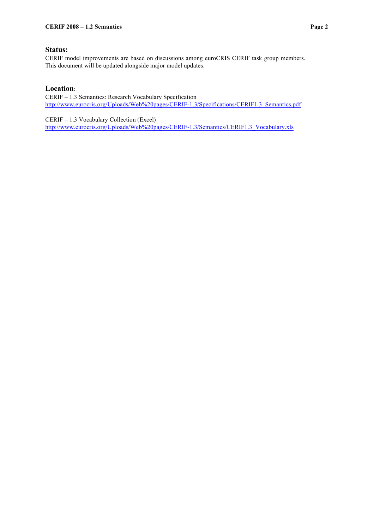CERIF model improvements are based on discussions among euroCRIS CERIF task group members. This document will be updated alongside major model updates.

## **Location**:

CERIF – 1.3 Semantics: Research Vocabulary Specification http://www.eurocris.org/Uploads/Web%20pages/CERIF-1.3/Specifications/CERIF1.3\_Semantics.pdf

CERIF – 1.3 Vocabulary Collection (Excel) http://www.eurocris.org/Uploads/Web%20pages/CERIF-1.3/Semantics/CERIF1.3\_Vocabulary.xls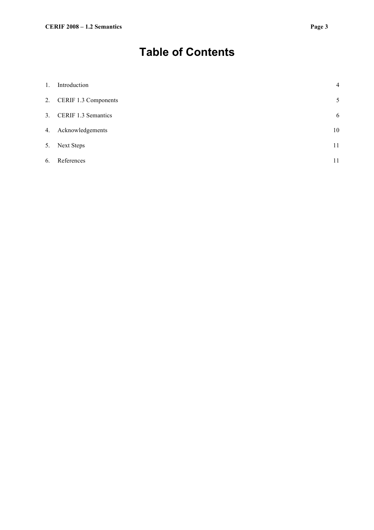## **Table of Contents**

| $1_{\cdot}$ | Introduction            | $\overline{4}$ |
|-------------|-------------------------|----------------|
|             | 2. CERIF 1.3 Components | 5              |
|             | 3. CERIF 1.3 Semantics  | 6              |
|             | 4. Acknowledgements     | 10             |
| 5.          | <b>Next Steps</b>       | 11             |
| 6.          | References              | 11             |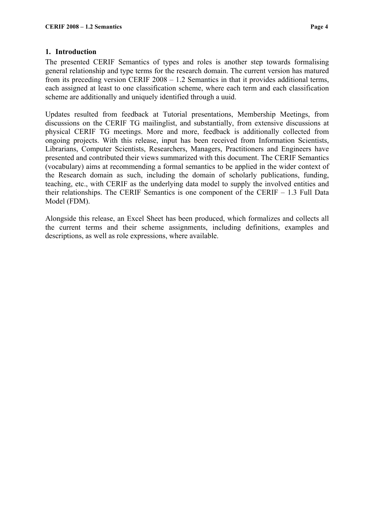## **1. Introduction**

The presented CERIF Semantics of types and roles is another step towards formalising general relationship and type terms for the research domain. The current version has matured from its preceding version CERIF 2008 – 1.2 Semantics in that it provides additional terms, each assigned at least to one classification scheme, where each term and each classification scheme are additionally and uniquely identified through a uuid.

Updates resulted from feedback at Tutorial presentations, Membership Meetings, from discussions on the CERIF TG mailinglist, and substantially, from extensive discussions at physical CERIF TG meetings. More and more, feedback is additionally collected from ongoing projects. With this release, input has been received from Information Scientists, Librarians, Computer Scientists, Researchers, Managers, Practitioners and Engineers have presented and contributed their views summarized with this document. The CERIF Semantics (vocabulary) aims at recommending a formal semantics to be applied in the wider context of the Research domain as such, including the domain of scholarly publications, funding, teaching, etc., with CERIF as the underlying data model to supply the involved entities and their relationships. The CERIF Semantics is one component of the CERIF – 1.3 Full Data Model (FDM).

Alongside this release, an Excel Sheet has been produced, which formalizes and collects all the current terms and their scheme assignments, including definitions, examples and descriptions, as well as role expressions, where available.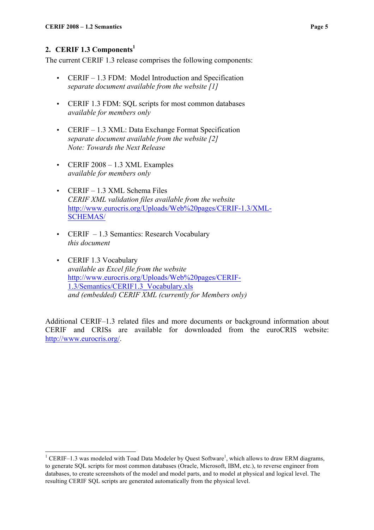## 2. **CERIF 1.3 Components**<sup>1</sup>

The current CERIF 1.3 release comprises the following components:

- CERIF 1.3 FDM: Model Introduction and Specification *separate document available from the website [1]*
- CERIF 1.3 FDM: SQL scripts for most common databases *available for members only*
- CERIF 1.3 XML: Data Exchange Format Specification *separate document available from the website [2] Note: Towards the Next Release*
- CERIF 2008 1.3 XML Examples *available for members only*
- CERIF 1.3 XML Schema Files *CERIF XML validation files available from the website* http://www.eurocris.org/Uploads/Web%20pages/CERIF-1.3/XML-SCHEMAS/
- CERIF 1.3 Semantics: Research Vocabulary *this document*
- CERIF 1.3 Vocabulary *available as Excel file from the website* http://www.eurocris.org/Uploads/Web%20pages/CERIF-1.3/Semantics/CERIF1.3\_Vocabulary.xls *and (embedded) CERIF XML (currently for Members only)*

Additional CERIF–1.3 related files and more documents or background information about CERIF and CRISs are available for downloaded from the euroCRIS website: http://www.eurocris.org/.

<sup>&</sup>lt;sup>1</sup> CERIF–1.3 was modeled with Toad Data Modeler by Quest Software<sup>1</sup>, which allows to draw ERM diagrams, to generate SQL scripts for most common databases (Oracle, Microsoft, IBM, etc.), to reverse engineer from databases, to create screenshots of the model and model parts, and to model at physical and logical level. The resulting CERIF SQL scripts are generated automatically from the physical level.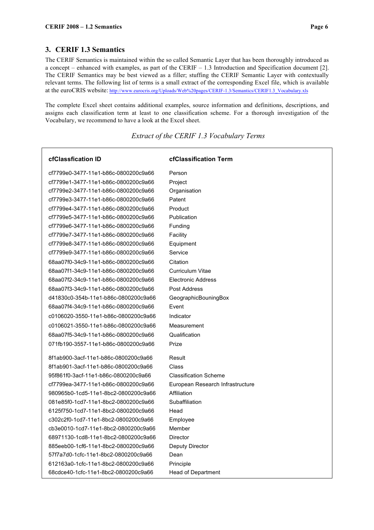#### **3. CERIF 1.3 Semantics**

The CERIF Semantics is maintained within the so called Semantic Layer that has been thoroughly introduced as a concept – enhanced with examples, as part of the CERIF – 1.3 Introduction and Specification document [2]. The CERIF Semantics may be best viewed as a filler; stuffing the CERIF Semantic Layer with contextually relevant terms. The following list of terms is a small extract of the corresponding Excel file, which is available at the euroCRIS website: http://www.eurocris.org/Uploads/Web%20pages/CERIF-1.3/Semantics/CERIF1.3\_Vocabulary.xls

The complete Excel sheet contains additional examples, source information and definitions, descriptions, and assigns each classification term at least to one classification scheme. For a thorough investigation of the Vocabulary, we recommend to have a look at the Excel sheet.

*Extract of the CERIF 1.3 Vocabulary Terms*

| cfClassfication ID                   | <b>cfClassification Term</b>     |
|--------------------------------------|----------------------------------|
| cf7799e0-3477-11e1-b86c-0800200c9a66 | Person                           |
| cf7799e1-3477-11e1-b86c-0800200c9a66 | Project                          |
| cf7799e2-3477-11e1-b86c-0800200c9a66 | Organisation                     |
| cf7799e3-3477-11e1-b86c-0800200c9a66 | Patent                           |
| cf7799e4-3477-11e1-b86c-0800200c9a66 | Product                          |
| cf7799e5-3477-11e1-b86c-0800200c9a66 | Publication                      |
| cf7799e6-3477-11e1-b86c-0800200c9a66 | Funding                          |
| cf7799e7-3477-11e1-b86c-0800200c9a66 | Facility                         |
| cf7799e8-3477-11e1-b86c-0800200c9a66 | Equipment                        |
| cf7799e9-3477-11e1-b86c-0800200c9a66 | Service                          |
| 68aa07f0-34c9-11e1-b86c-0800200c9a66 | Citation                         |
| 68aa07f1-34c9-11e1-b86c-0800200c9a66 | Curriculum Vitae                 |
| 68aa07f2-34c9-11e1-b86c-0800200c9a66 | <b>Electronic Address</b>        |
| 68aa07f3-34c9-11e1-b86c-0800200c9a66 | Post Address                     |
| d41830c0-354b-11e1-b86c-0800200c9a66 | GeographicBouningBox             |
| 68aa07f4-34c9-11e1-b86c-0800200c9a66 | Event                            |
| c0106020-3550-11e1-b86c-0800200c9a66 | Indicator                        |
| c0106021-3550-11e1-b86c-0800200c9a66 | Measurement                      |
| 68aa07f5-34c9-11e1-b86c-0800200c9a66 | Qualification                    |
| 071fb190-3557-11e1-b86c-0800200c9a66 | Prize                            |
| 8f1ab900-3acf-11e1-b86c-0800200c9a66 | Result                           |
| 8f1ab901-3acf-11e1-b86c-0800200c9a66 | Class                            |
| 95f861f0-3acf-11e1-b86c-0800200c9a66 | <b>Classification Scheme</b>     |
| cf7799ea-3477-11e1-b86c-0800200c9a66 | European Research Infrastructure |
| 980965b0-1cd5-11e1-8bc2-0800200c9a66 | Affiliation                      |
| 081e85f0-1cd7-11e1-8bc2-0800200c9a66 | Subaffiliation                   |
| 6125f750-1cd7-11e1-8bc2-0800200c9a66 | Head                             |
| c302c2f0-1cd7-11e1-8bc2-0800200c9a66 | Employee                         |
| cb3e0010-1cd7-11e1-8bc2-0800200c9a66 | Member                           |
| 68971130-1cd8-11e1-8bc2-0800200c9a66 | Director                         |
| 885eeb00-1cf6-11e1-8bc2-0800200c9a66 | Deputy Director                  |
| 57f7a7d0-1cfc-11e1-8bc2-0800200c9a66 | Dean                             |
| 612163a0-1cfc-11e1-8bc2-0800200c9a66 | Principle                        |
| 68cdce40-1cfc-11e1-8bc2-0800200c9a66 | Head of Department               |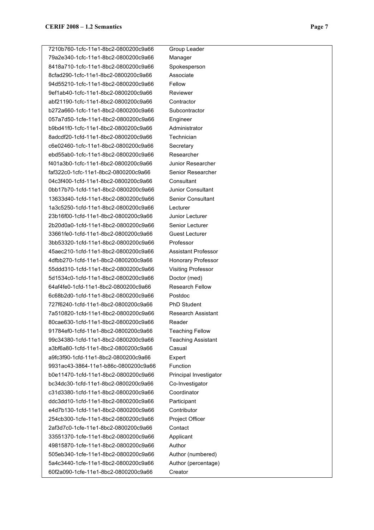7210b760-1cfc-11e1-8bc2-0800200c9a66 Group Leader 79a2e340-1cfc-11e1-8bc2-0800200c9a66 Manager 8418a710-1cfc-11e1-8bc2-0800200c9a66 Spokesperson 8cfad290-1cfc-11e1-8bc2-0800200c9a66 Associate 94d55210-1cfc-11e1-8bc2-0800200c9a66 Fellow 9ef1ab40-1cfc-11e1-8bc2-0800200c9a66 Reviewer abf21190-1cfc-11e1-8bc2-0800200c9a66 Contractor b272a660-1cfc-11e1-8bc2-0800200c9a66 Subcontractor 057a7d50-1cfe-11e1-8bc2-0800200c9a66 Engineer b9bd41f0-1cfc-11e1-8bc2-0800200c9a66 Administrator 8adcdf20-1cfd-11e1-8bc2-0800200c9a66 Technician c6e02460-1cfc-11e1-8bc2-0800200c9a66 Secretary ebd55ab0-1cfc-11e1-8bc2-0800200c9a66 Researcher f401a3b0-1cfc-11e1-8bc2-0800200c9a66 Junior Researcher faf322c0-1cfc-11e1-8bc2-0800200c9a66 Senior Researcher 04c3f400-1cfd-11e1-8bc2-0800200c9a66 Consultant 0bb17b70-1cfd-11e1-8bc2-0800200c9a66 Junior Consultant 13633d40-1cfd-11e1-8bc2-0800200c9a66 Senior Consultant 1a3c5250-1cfd-11e1-8bc2-0800200c9a66 Lecturer 23b16f00-1cfd-11e1-8bc2-0800200c9a66 Junior Lecturer 2b20d0a0-1cfd-11e1-8bc2-0800200c9a66 Senior Lecturer 33661fe0-1cfd-11e1-8bc2-0800200c9a66 Guest Lecturer 3bb53320-1cfd-11e1-8bc2-0800200c9a66 Professor 45aec210-1cfd-11e1-8bc2-0800200c9a66 Assistant Professor 4dfbb270-1cfd-11e1-8bc2-0800200c9a66 Honorary Professor 55ddd310-1cfd-11e1-8bc2-0800200c9a66 Visiting Professor 5d1534c0-1cfd-11e1-8bc2-0800200c9a66 Doctor (med) 64af4fe0-1cfd-11e1-8bc2-0800200c9a66 Research Fellow 6c68b2d0-1cfd-11e1-8bc2-0800200c9a66 Postdoc 727f6240-1cfd-11e1-8bc2-0800200c9a66 PhD Student 7a510820-1cfd-11e1-8bc2-0800200c9a66 Research Assistant 80cae630-1cfd-11e1-8bc2-0800200c9a66 Reader 91784ef0-1cfd-11e1-8bc2-0800200c9a66 Teaching Fellow 99c34380-1cfd-11e1-8bc2-0800200c9a66 Teaching Assistant a3bf6a80-1cfd-11e1-8bc2-0800200c9a66 Casual a9fc3f90-1cfd-11e1-8bc2-0800200c9a66 Expert 9931ac43-3864-11e1-b86c-0800200c9a66 Function b0e11470-1cfd-11e1-8bc2-0800200c9a66 Principal Investigator bc34dc30-1cfd-11e1-8bc2-0800200c9a66 Co-Investigator c31d3380-1cfd-11e1-8bc2-0800200c9a66 Coordinator ddc3dd10-1cfd-11e1-8bc2-0800200c9a66 Participant e4d7b130-1cfd-11e1-8bc2-0800200c9a66 Contributor 254cb300-1cfe-11e1-8bc2-0800200c9a66 Project Officer 2af3d7c0-1cfe-11e1-8bc2-0800200c9a66 Contact 33551370-1cfe-11e1-8bc2-0800200c9a66 Applicant 49815870-1cfe-11e1-8bc2-0800200c9a66 Author 505eb340-1cfe-11e1-8bc2-0800200c9a66 Author (numbered) 5a4c3440-1cfe-11e1-8bc2-0800200c9a66 Author (percentage) 60f2a090-1cfe-11e1-8bc2-0800200c9a66 Creator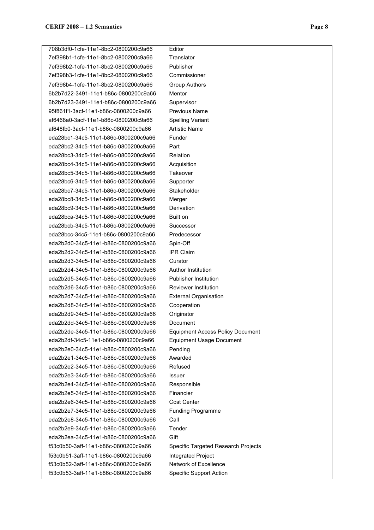708b3df0-1cfe-11e1-8bc2-0800200c9a66 Editor 7ef398b1-1cfe-11e1-8bc2-0800200c9a66 Translator 7ef398b2-1cfe-11e1-8bc2-0800200c9a66 Publisher 7ef398b3-1cfe-11e1-8bc2-0800200c9a66 Commissioner 7ef398b4-1cfe-11e1-8bc2-0800200c9a66 Group Authors 6b2b7d22-3491-11e1-b86c-0800200c9a66 Mentor 6b2b7d23-3491-11e1-b86c-0800200c9a66 Supervisor 95f861f1-3acf-11e1-b86c-0800200c9a66 Previous Name af6468a0-3acf-11e1-b86c-0800200c9a66 Spelling Variant af648fb0-3acf-11e1-b86c-0800200c9a66 Artistic Name eda28bc1-34c5-11e1-b86c-0800200c9a66 Funder eda28bc2-34c5-11e1-b86c-0800200c9a66 Part eda28bc3-34c5-11e1-b86c-0800200c9a66 Relation eda28bc4-34c5-11e1-b86c-0800200c9a66 Acquisition eda28bc5-34c5-11e1-b86c-0800200c9a66 Takeover eda28bc6-34c5-11e1-b86c-0800200c9a66 Supporter eda28bc7-34c5-11e1-b86c-0800200c9a66 Stakeholder eda28bc8-34c5-11e1-b86c-0800200c9a66 Merger eda28bc9-34c5-11e1-b86c-0800200c9a66 Derivation eda28bca-34c5-11e1-b86c-0800200c9a66 Built on eda28bcb-34c5-11e1-b86c-0800200c9a66 Successor eda28bcc-34c5-11e1-b86c-0800200c9a66 Predecessor eda2b2d0-34c5-11e1-b86c-0800200c9a66 Spin-Off eda2b2d2-34c5-11e1-b86c-0800200c9a66 IPR Claim eda2b2d3-34c5-11e1-b86c-0800200c9a66 Curator eda2b2d4-34c5-11e1-b86c-0800200c9a66 Author Institution eda2b2d5-34c5-11e1-b86c-0800200c9a66 Publisher Institution eda2b2d6-34c5-11e1-b86c-0800200c9a66 Reviewer Institution eda2b2d7-34c5-11e1-b86c-0800200c9a66 External Organisation eda2b2d8-34c5-11e1-b86c-0800200c9a66 Cooperation eda2b2d9-34c5-11e1-b86c-0800200c9a66 Originator eda2b2dd-34c5-11e1-b86c-0800200c9a66 Document eda2b2de-34c5-11e1-b86c-0800200c9a66 Equipment Access Policy Document eda2b2df-34c5-11e1-b86c-0800200c9a66 Equipment Usage Document eda2b2e0-34c5-11e1-b86c-0800200c9a66 Pending eda2b2e1-34c5-11e1-b86c-0800200c9a66 Awarded eda2b2e2-34c5-11e1-b86c-0800200c9a66 Refused eda2b2e3-34c5-11e1-b86c-0800200c9a66 Issuer eda2b2e4-34c5-11e1-b86c-0800200c9a66 Responsible eda2b2e5-34c5-11e1-b86c-0800200c9a66 Financier eda2b2e6-34c5-11e1-b86c-0800200c9a66 Cost Center eda2b2e7-34c5-11e1-b86c-0800200c9a66 Funding Programme eda2b2e8-34c5-11e1-b86c-0800200c9a66 Call eda2b2e9-34c5-11e1-b86c-0800200c9a66 Tender eda2b2ea-34c5-11e1-b86c-0800200c9a66 Gift f53c0b50-3aff-11e1-b86c-0800200c9a66 Specific Targeted Research Projects f53c0b51-3aff-11e1-b86c-0800200c9a66 Integrated Project f53c0b52-3aff-11e1-b86c-0800200c9a66 Network of Excellence f53c0b53-3aff-11e1-b86c-0800200c9a66 Specific Support Action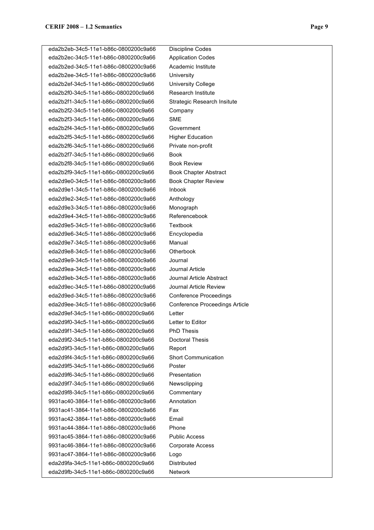eda2b2eb-34c5-11e1-b86c-0800200c9a66 Discipline Codes eda2b2ec-34c5-11e1-b86c-0800200c9a66 Application Codes eda2b2ed-34c5-11e1-b86c-0800200c9a66 Academic Institute eda2b2ee-34c5-11e1-b86c-0800200c9a66 University eda2b2ef-34c5-11e1-b86c-0800200c9a66 University College eda2b2f0-34c5-11e1-b86c-0800200c9a66 Research Institute eda2b2f1-34c5-11e1-b86c-0800200c9a66 Strategic Research Insitute eda2b2f2-34c5-11e1-b86c-0800200c9a66 Company eda2b2f3-34c5-11e1-b86c-0800200c9a66 SME eda2b2f4-34c5-11e1-b86c-0800200c9a66 Government eda2b2f5-34c5-11e1-b86c-0800200c9a66 Higher Education eda2b2f6-34c5-11e1-b86c-0800200c9a66 Private non-profit eda2b2f7-34c5-11e1-b86c-0800200c9a66 Book eda2b2f8-34c5-11e1-b86c-0800200c9a66 Book Review eda2b2f9-34c5-11e1-b86c-0800200c9a66 Book Chapter Abstract eda2d9e0-34c5-11e1-b86c-0800200c9a66 Book Chapter Review eda2d9e1-34c5-11e1-b86c-0800200c9a66 Inbook eda2d9e2-34c5-11e1-b86c-0800200c9a66 Anthology eda2d9e3-34c5-11e1-b86c-0800200c9a66 Monograph eda2d9e4-34c5-11e1-b86c-0800200c9a66 Referencebook eda2d9e5-34c5-11e1-b86c-0800200c9a66 Textbook eda2d9e6-34c5-11e1-b86c-0800200c9a66 Encyclopedia eda2d9e7-34c5-11e1-b86c-0800200c9a66 Manual eda2d9e8-34c5-11e1-b86c-0800200c9a66 Otherbook eda2d9e9-34c5-11e1-b86c-0800200c9a66 Journal eda2d9ea-34c5-11e1-b86c-0800200c9a66 Journal Article eda2d9eb-34c5-11e1-b86c-0800200c9a66 Journal Article Abstract eda2d9ec-34c5-11e1-b86c-0800200c9a66 Journal Article Review eda2d9ed-34c5-11e1-b86c-0800200c9a66 Conference Proceedings eda2d9ee-34c5-11e1-b86c-0800200c9a66 Conference Proceedings Article eda2d9ef-34c5-11e1-b86c-0800200c9a66 Letter eda2d9f0-34c5-11e1-b86c-0800200c9a66 Letter to Editor eda2d9f1-34c5-11e1-b86c-0800200c9a66 PhD Thesis eda2d9f2-34c5-11e1-b86c-0800200c9a66 Doctoral Thesis eda2d9f3-34c5-11e1-b86c-0800200c9a66 Report eda2d9f4-34c5-11e1-b86c-0800200c9a66 Short Communication eda2d9f5-34c5-11e1-b86c-0800200c9a66 Poster eda2d9f6-34c5-11e1-b86c-0800200c9a66 Presentation eda2d9f7-34c5-11e1-b86c-0800200c9a66 Newsclipping eda2d9f8-34c5-11e1-b86c-0800200c9a66 Commentary 9931ac40-3864-11e1-b86c-0800200c9a66 Annotation 9931ac41-3864-11e1-b86c-0800200c9a66 Fax 9931ac42-3864-11e1-b86c-0800200c9a66 Email 9931ac44-3864-11e1-b86c-0800200c9a66 Phone 9931ac45-3864-11e1-b86c-0800200c9a66 Public Access 9931ac46-3864-11e1-b86c-0800200c9a66 Corporate Access 9931ac47-3864-11e1-b86c-0800200c9a66 Logo eda2d9fa-34c5-11e1-b86c-0800200c9a66 Distributed eda2d9fb-34c5-11e1-b86c-0800200c9a66 Network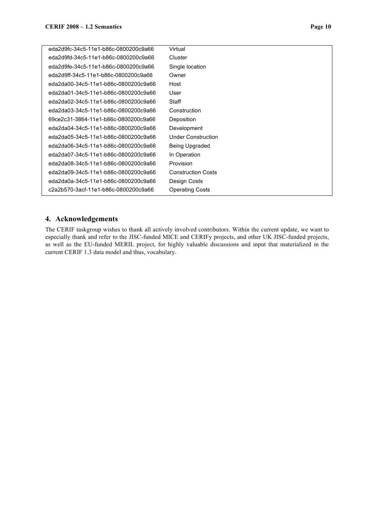| eda2d9fc-34c5-11e1-b86c-0800200c9a66 | Virtual                   |
|--------------------------------------|---------------------------|
| eda2d9fd-34c5-11e1-b86c-0800200c9a66 | Cluster                   |
| eda2d9fe-34c5-11e1-b86c-0800200c9a66 | Single location           |
| eda2d9ff-34c5-11e1-b86c-0800200c9a66 | Owner                     |
| eda2da00-34c5-11e1-b86c-0800200c9a66 | Host                      |
| eda2da01-34c5-11e1-b86c-0800200c9a66 | User                      |
| eda2da02-34c5-11e1-b86c-0800200c9a66 | Staff                     |
| eda2da03-34c5-11e1-b86c-0800200c9a66 | Construction              |
| 69ce2c31-3864-11e1-b86c-0800200c9a66 | Deposition                |
| eda2da04-34c5-11e1-b86c-0800200c9a66 | Development               |
| eda2da05-34c5-11e1-b86c-0800200c9a66 | <b>Under Construction</b> |
| eda2da06-34c5-11e1-b86c-0800200c9a66 | Being Upgraded            |
| eda2da07-34c5-11e1-b86c-0800200c9a66 | In Operation              |
| eda2da08-34c5-11e1-b86c-0800200c9a66 | Provision                 |
| eda2da09-34c5-11e1-b86c-0800200c9a66 | <b>Construction Costs</b> |
| eda2da0a-34c5-11e1-b86c-0800200c9a66 | Design Costs              |
| c2a2b570-3acf-11e1-b86c-0800200c9a66 | <b>Operating Costs</b>    |
|                                      |                           |

## **4. Acknowledgements**

The CERIF taskgroup wishes to thank all actively involved contributors. Within the current update, we want to especially thank and refer to the JISC-funded MICE and CERIFy projects, and other UK JISC-funded projects, as well as the EU-funded MERIL project, for highly valuable discussions and input that materialized in the current CERIF 1.3 data model and thus, vocabulary.